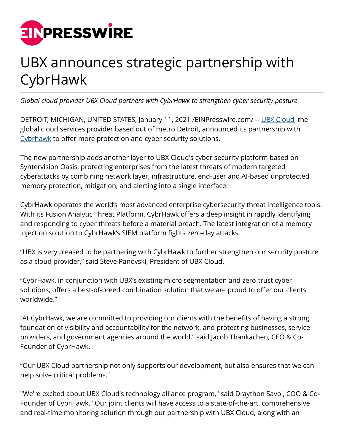

## UBX announces strategic partnership with CybrHawk

*Global cloud provider UBX Cloud partners with CybrHawk to strengthen cyber security posture*

DETROIT, MICHIGAN, UNITED STATES, January 11, 2021 /[EINPresswire.com/](http://www.einpresswire.com) -- [UBX Cloud](http://www.ubxcloud.com), the global cloud services provider based out of metro Detroit, announced its partnership with [Cybrhawk](http://www.cybrhawk.com) to offer more protection and cyber security solutions.

The new partnership adds another layer to UBX Cloud's cyber security platform based on Syntervision Oasis, protecting enterprises from the latest threats of modern targeted cyberattacks by combining network layer, infrastructure, end-user and AI-based unprotected memory protection, mitigation, and alerting into a single interface.

CybrHawk operates the world's most advanced enterprise cybersecurity threat intelligence tools. With its Fusion Analytic Threat Platform, CybrHawk offers a deep insight in rapidly identifying and responding to cyber threats before a material breach. The latest integration of a memory injection solution to CybrHawk's SIEM platform fights zero-day attacks.

"UBX is very pleased to be partnering with CybrHawk to further strengthen our security posture as a cloud provider," said Steve Panovski, President of UBX Cloud.

"CybrHawk, in conjunction with UBX's existing micro segmentation and zero-trust cyber solutions, offers a best-of-breed combination solution that we are proud to offer our clients worldwide."

"At CybrHawk, we are committed to providing our clients with the benefits of having a strong foundation of visibility and accountability for the network, and protecting businesses, service providers, and government agencies around the world," said Jacob Thankachen, CEO & Co-Founder of CybrHawk.

"Our UBX Cloud partnership not only supports our development, but also ensures that we can help solve critical problems."

"We're excited about UBX Cloud's technology alliance program," said Draython Savoi, COO & Co-Founder of CybrHawk. "Our joint clients will have access to a state-of-the-art, comprehensive and real-time monitoring solution through our partnership with UBX Cloud, along with an